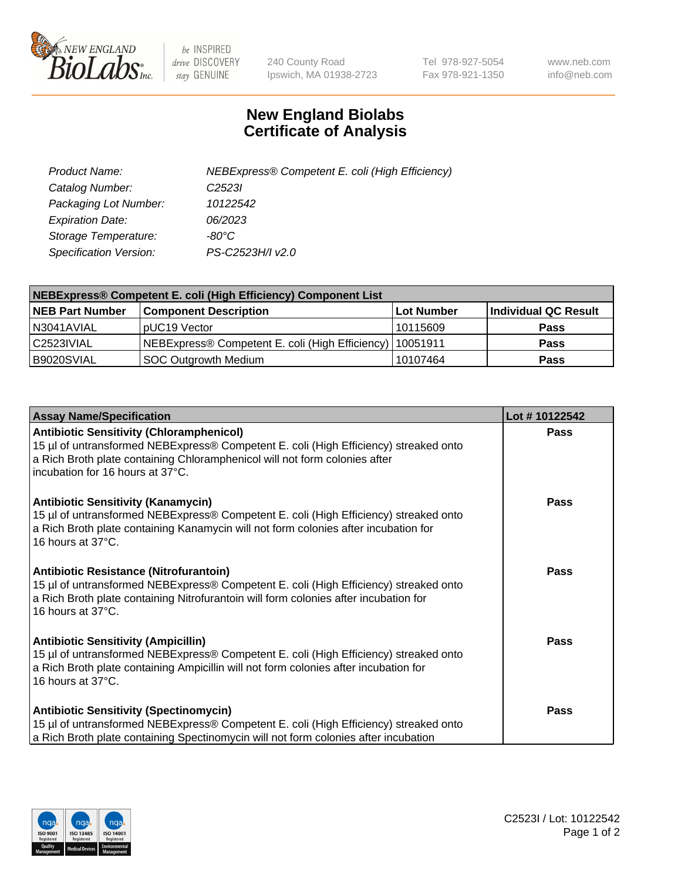

 $be$  INSPIRED drive DISCOVERY stay GENUINE

240 County Road Ipswich, MA 01938-2723 Tel 978-927-5054 Fax 978-921-1350 www.neb.com info@neb.com

## **New England Biolabs Certificate of Analysis**

| Product Name:           | NEBExpress® Competent E. coli (High Efficiency) |
|-------------------------|-------------------------------------------------|
| Catalog Number:         | C <sub>2523</sub>                               |
| Packaging Lot Number:   | 10122542                                        |
| <b>Expiration Date:</b> | 06/2023                                         |
| Storage Temperature:    | -80°C                                           |
| Specification Version:  | PS-C2523H/I v2.0                                |

| NEBExpress® Competent E. coli (High Efficiency) Component List |                                                            |            |                      |  |
|----------------------------------------------------------------|------------------------------------------------------------|------------|----------------------|--|
| <b>NEB Part Number</b>                                         | <b>Component Description</b>                               | Lot Number | Individual QC Result |  |
| N3041AVIAL                                                     | pUC19 Vector                                               | 10115609   | <b>Pass</b>          |  |
| C2523IVIAL                                                     | NEBExpress® Competent E. coli (High Efficiency)   10051911 |            | <b>Pass</b>          |  |
| B9020SVIAL                                                     | <b>SOC Outgrowth Medium</b>                                | 10107464   | <b>Pass</b>          |  |

| <b>Assay Name/Specification</b>                                                                                                                                                                                                                           | Lot #10122542 |
|-----------------------------------------------------------------------------------------------------------------------------------------------------------------------------------------------------------------------------------------------------------|---------------|
| <b>Antibiotic Sensitivity (Chloramphenicol)</b><br>15 µl of untransformed NEBExpress® Competent E. coli (High Efficiency) streaked onto<br>a Rich Broth plate containing Chloramphenicol will not form colonies after<br>incubation for 16 hours at 37°C. | <b>Pass</b>   |
| <b>Antibiotic Sensitivity (Kanamycin)</b><br>15 µl of untransformed NEBExpress® Competent E. coli (High Efficiency) streaked onto<br>a Rich Broth plate containing Kanamycin will not form colonies after incubation for<br>16 hours at 37°C.             | Pass          |
| Antibiotic Resistance (Nitrofurantoin)<br>15 µl of untransformed NEBExpress® Competent E. coli (High Efficiency) streaked onto<br>a Rich Broth plate containing Nitrofurantoin will form colonies after incubation for<br>16 hours at 37°C.               | Pass          |
| <b>Antibiotic Sensitivity (Ampicillin)</b><br>15 µl of untransformed NEBExpress® Competent E. coli (High Efficiency) streaked onto<br>a Rich Broth plate containing Ampicillin will not form colonies after incubation for<br>16 hours at 37°C.           | <b>Pass</b>   |
| <b>Antibiotic Sensitivity (Spectinomycin)</b><br>15 µl of untransformed NEBExpress® Competent E. coli (High Efficiency) streaked onto<br>a Rich Broth plate containing Spectinomycin will not form colonies after incubation                              | Pass          |